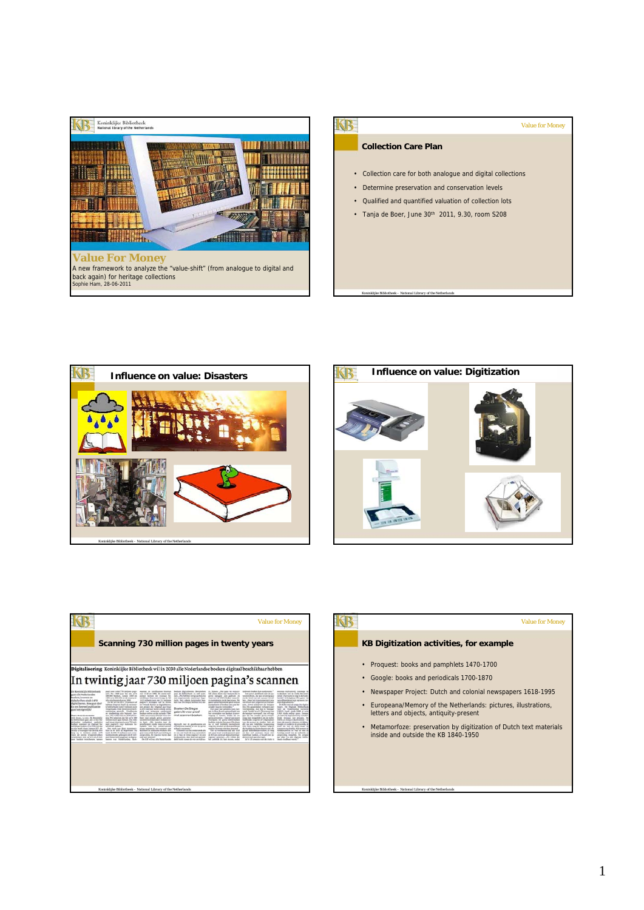



#### Value for Money

### **Collection Care Plan**

Koninklijke Bibliotheek – *National Library of the Netherlands*

- Collection care for both analogue and digital collections
- Determine preservation and conservation levels
- Qualified and quantified valuation of collection lots
- Tanja de Boer, June 30<sup>th</sup> 2011, 9.30, room S208







**KB** 

#### Value for Money

# **KB Digitization activities, for example**

• Proquest: books and pamphlets 1470-1700

Koninklijke Bibliotheek – *National Library of the Netherlands*

- Google: books and periodicals 1700-1870
- Newspaper Project: Dutch and colonial newspapers 1618-1995
- Europeana/Memory of the Netherlands: pictures, illustrations, letters and objects, antiquity-present
- Metamorfoze: preservation by digitization of Dutch text materials inside and outside the KB 1840-1950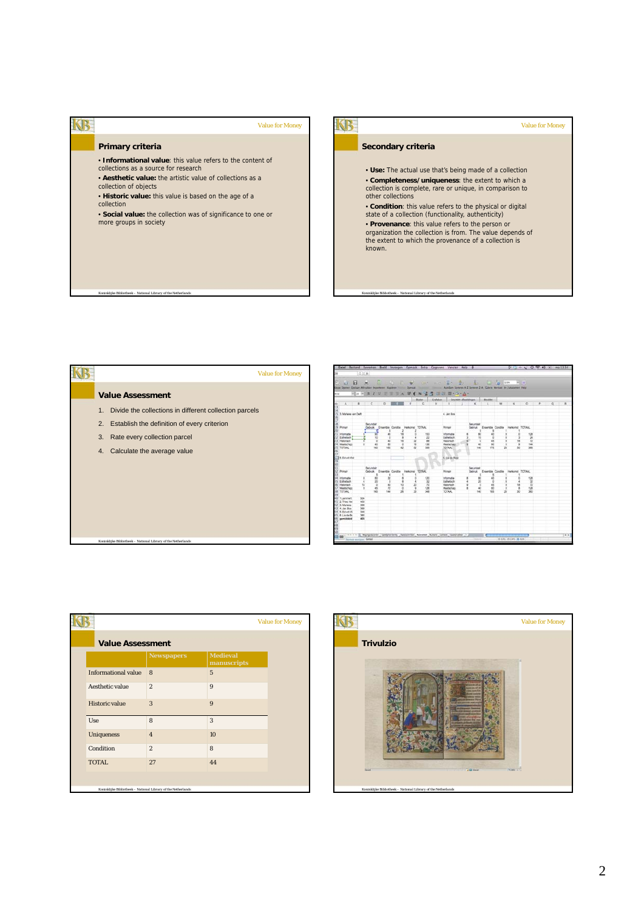## **SB Primary criteria** • **Informational value**: this value refers to the content of collections as a source for research • **Aesthetic value:** the artistic value of collections as a collection of objects

Koninklijke Bibliotheek – *National Library of the Netherlands*

Koninklijke Bibliotheek – *National Library of the Netherlands*

Value for Money

- **Historic value:** this value is based on the age of a collection
- **Social value:** the collection was of significance to one or more groups in society

## KB-Value for Money **Secondary criteria** • **Use:** The actual use that's being made of a collection • **Completeness/uniqueness**: the extent to which a collection is complete, rare or unique, in comparison to other collections • **Condition**: this value refers to the physical or digital state of a collection (functionality, authenticity) • **Provenance**: this value refers to the person or organization the collection is from. The value depends of the extent to which the provenance of a collection is known.

Koninklijke Bibliotheek – *National Library of the Netherlands*

|    | <b>Value for Money</b>                                    |
|----|-----------------------------------------------------------|
|    | <b>Value Assessment</b>                                   |
|    | 1. Divide the collections in different collection parcels |
|    | 2. Establish the definition of every criterion            |
| 3. | Rate every collection parcel                              |
| 4. | Calculate the average value                               |
|    |                                                           |
|    |                                                           |
|    |                                                           |
|    |                                                           |
|    |                                                           |
|    |                                                           |

|                                                                       | 2.16       |                      |         |             |                                   |                       |                                                                                 |                          |            |        |                                          |                 |  |          |
|-----------------------------------------------------------------------|------------|----------------------|---------|-------------|-----------------------------------|-----------------------|---------------------------------------------------------------------------------|--------------------------|------------|--------|------------------------------------------|-----------------|--|----------|
| <b>WE</b><br>- 64                                                     |            | ×                    |         |             |                                   |                       | THE DISC INTO A CONTRACTOR CONTRACTOR CONTRACTOR                                |                          |            |        |                                          |                 |  |          |
| <b>Visua Operant Opplays Attrakken Importance - Kapither Transact</b> |            |                      |         |             |                                   |                       |                                                                                 |                          |            |        |                                          |                 |  |          |
| <b>Arial</b>                                                          |            |                      |         |             |                                   |                       | Mu AB / U E E SA W E X M & G 3 B · S · A ·                                      |                          |            |        |                                          |                 |  |          |
|                                                                       |            |                      |         |             |                                   |                       | Eater Cyfeian - Snutkt absoldings - Worder                                      |                          |            |        |                                          |                 |  |          |
| $\circ$ $A$ $B$ $C$ $D$                                               |            |                      |         | <b>COLE</b> |                                   |                       |                                                                                 |                          |            |        |                                          |                 |  |          |
|                                                                       |            |                      |         |             |                                   |                       |                                                                                 |                          |            |        |                                          |                 |  |          |
|                                                                       |            |                      |         |             |                                   |                       |                                                                                 |                          |            |        |                                          |                 |  |          |
| 15 3. Marieke van Delft                                               |            |                      |         |             |                                   |                       | 4 Jan Bos                                                                       |                          |            |        |                                          |                 |  |          |
|                                                                       |            |                      |         |             |                                   |                       |                                                                                 |                          |            |        |                                          |                 |  |          |
| 19 Primar                                                             |            | Securitar<br>Gebruik |         |             | Ensentre Conditie Herkomet TOTAAL |                       | Primain                                                                         | Securities               |            |        | Georuk Ensemble Conditie Herkomat TOTAAL |                 |  |          |
|                                                                       |            |                      |         |             |                                   |                       |                                                                                 | $\overline{\phantom{a}}$ |            |        |                                          |                 |  |          |
| Informatie                                                            |            |                      | ×       |             |                                   | 153                   | <b>Information</b>                                                              |                          | 40         |        |                                          | 128             |  |          |
| Exhetech<br>Hallonach                                                 |            | 10<br>s              | ٠<br>45 | w           |                                   | 끊                     | Estwitisch                                                                      | 15<br>×                  | ö<br>45    |        |                                          | $\frac{24}{72}$ |  |          |
| 14 Masterham                                                          |            | 45                   | w       |             | 22<br>16                          | 136                   | <b>Hallorisch</b><br>Masterham                                                  | 45                       | to:        |        |                                          | 544             |  |          |
| TOTAAL                                                                |            | 545                  | 165     |             |                                   | <b>SM</b>             | <b>TOTAAL</b>                                                                   | 140                      | 196        | 23     |                                          | <b>SAN</b>      |  |          |
|                                                                       |            |                      |         |             |                                   |                       |                                                                                 |                          |            |        |                                          |                 |  |          |
| <b>THIS Deve Vise</b>                                                 |            |                      |         |             |                                   |                       | R. Lia de Doer                                                                  |                          |            |        |                                          |                 |  |          |
|                                                                       |            |                      |         |             |                                   |                       |                                                                                 |                          |            |        |                                          |                 |  |          |
|                                                                       |            | Secundar             |         |             |                                   |                       |                                                                                 | Securidad                |            |        |                                          |                 |  |          |
| 12 Person                                                             |            | Gebruik              |         |             | Ementie Contitie Herkomat TOTAAL  |                       | <b>Primar</b>                                                                   |                          |            |        | Gabruk Ensemble Conditie Herkomet TOTAAL |                 |  |          |
|                                                                       |            |                      |         |             |                                   |                       |                                                                                 |                          |            |        |                                          |                 |  |          |
| 14 Informatie<br>15 Estward                                           |            | ю<br>я               | 12<br>7 |             |                                   | 120<br>$\overline{u}$ | Informatie                                                                      | ю<br>36                  | 40<br>8    |        |                                          | 128<br>38       |  |          |
| 35 Halpfach                                                           |            | s                    | 45      |             | 20                                | 70                    | Esthelisch<br>Halbrich                                                          | ×                        | as.        |        |                                          |                 |  |          |
| 17 Maatschap                                                          |            | 45                   | 22      | ö           | ٠                                 | 126                   | Masterhan                                                                       | 45                       | 80         |        |                                          | 128             |  |          |
| <b>JAATOT BE</b>                                                      |            | <b>NK</b>            | 144     | 36          | <b>YS</b>                         | 348                   | TOTAAL                                                                          | <b>GAY</b>               | <b>ves</b> | $\geq$ |                                          | 360             |  |          |
| Termel? (68)                                                          | 504        |                      |         |             |                                   |                       |                                                                                 |                          |            |        |                                          |                 |  |          |
| 41 2 Theo Ver                                                         | etò        |                      |         |             |                                   |                       |                                                                                 |                          |            |        |                                          |                 |  |          |
| 42.3 Marieka                                                          | 396        |                      |         |             |                                   |                       |                                                                                 |                          |            |        |                                          |                 |  |          |
| 43 4 Jan Ros<br>44 5. Ed et VII                                       | 386<br>348 |                      |         |             |                                   |                       |                                                                                 |                          |            |        |                                          |                 |  |          |
| 45 ff. Lie de Bi                                                      | 360        |                      |         |             |                                   |                       |                                                                                 |                          |            |        |                                          |                 |  |          |
| <b>blebbinning</b> 84                                                 | and.       |                      |         |             |                                   |                       |                                                                                 |                          |            |        |                                          |                 |  |          |
|                                                                       |            |                      |         |             |                                   |                       |                                                                                 |                          |            |        |                                          |                 |  |          |
|                                                                       |            |                      |         |             |                                   |                       |                                                                                 |                          |            |        |                                          |                 |  |          |
|                                                                       |            |                      |         |             |                                   |                       |                                                                                 |                          |            |        |                                          |                 |  |          |
| $\Box$ on                                                             |            |                      |         |             |                                   |                       | THE F. P. L. Republicant Conferences Automobile Nikama Nowa Come: Customer .- 2 |                          |            |        |                                          |                 |  | $-10.01$ |

| <b>Value Assessment</b>    |                   |                                |  |
|----------------------------|-------------------|--------------------------------|--|
|                            | <b>Newspapers</b> | <b>Medieval</b><br>manuscripts |  |
| <b>Informational value</b> | 8                 | $\overline{5}$                 |  |
| Aesthetic value            | $\overline{2}$    | 9                              |  |
| <b>Historic value</b>      | 3                 | 9                              |  |
| Use                        | 8                 | 3                              |  |
| <b>Uniqueness</b>          | $\overline{4}$    | 10                             |  |
| Condition                  | $\overline{2}$    | 8                              |  |
| TOTAL.                     | 27                | 44                             |  |

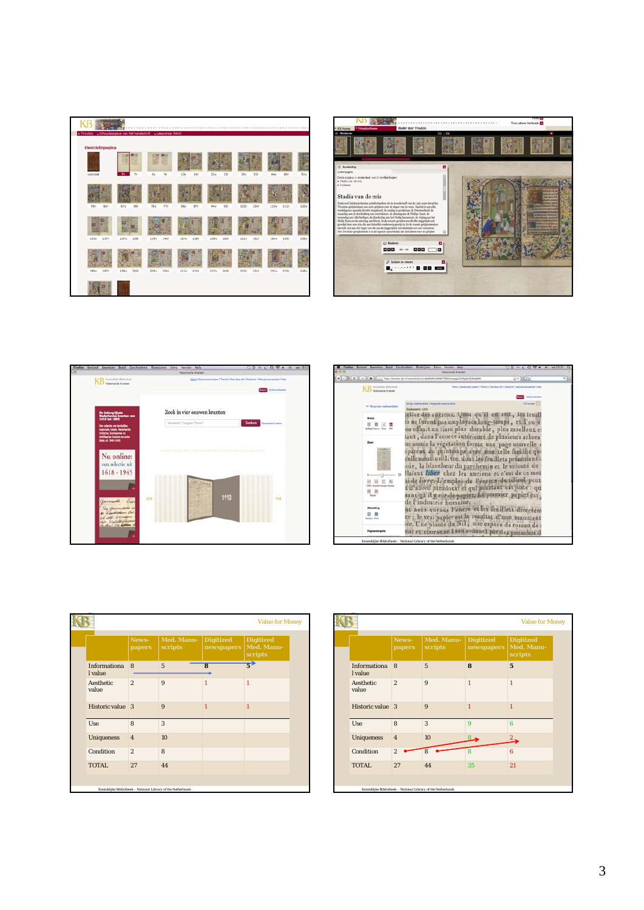







|                         |                 |                       |                                | <b>Value for Money</b>                    |
|-------------------------|-----------------|-----------------------|--------------------------------|-------------------------------------------|
|                         | News-<br>papers | Med. Manu-<br>scripts | <b>Digitized</b><br>newspapers | <b>Digitized</b><br>Med. Manu-<br>scripts |
| Informationa<br>l value | 8               | $\overline{5}$        | $\overline{\mathbf{8}}$        | $\overrightarrow{5}$                      |
| Aesthetic<br>value      | $\overline{2}$  | 9                     | $\mathbf{1}$                   | $\mathbf{1}$                              |
| Historic value 3        |                 | 9                     | 1                              | 1                                         |
| Use                     | 8               | 3                     |                                |                                           |
| <b>Uniqueness</b>       | $\overline{4}$  | 10 <sup>10</sup>      |                                |                                           |
| Condition               | $\overline{2}$  | 8                     |                                |                                           |
| TOTAL.                  | 27              | 44                    |                                |                                           |